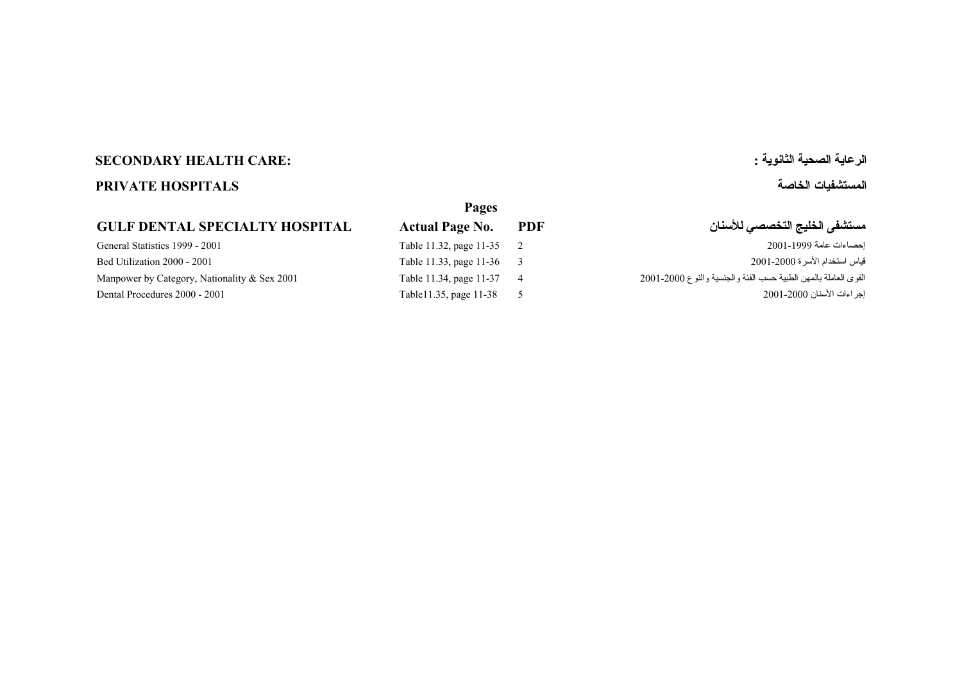# **الرعاية الصحية الثانوية : :CARE HEALTH SECONDARY**

# **المستشفيات الخاصة HOSPITALS PRIVATE**

### **GULF DENTAL SPECIALTY HOSPITAL**

| Pages                   |     |
|-------------------------|-----|
| <b>Actual Page No.</b>  | PD. |
| Table 11.32, page 11-35 | 2   |
| Table 11.33, page 11-36 | 3   |
| Table 11.34, page 11-37 | 4   |
| Table11.35, page 11-38  | 5   |

| مستشفى الخليج التخصصي للأسنان<br><b>PDF</b><br><b>Actual Page No.</b> |  |
|-----------------------------------------------------------------------|--|
|-----------------------------------------------------------------------|--|

 [Table 11.32, page 11-35](#page-1-0) General Statistics 1999 - 2001 2 2001-1999 عامة إحصاءات  [Table 11.33, page 11-36](#page-2-0) Bed Utilization 2000 - 2001 3 2001-2000 الأسرة استخدام قياس القوى العاملة بالمهن الطبية حسب الفئة والجنسية والنوع 2000-2001 2001-2000 4 2001-2000 11.34, page 11-37 ملغات المسبب الفئة والجنسية والنوع 2001-2000 Manpower by Category, Nationality & Sex 2001 4 11.34, page 11-37 ملغات ا  [Table11.35, page 11-38](#page-4-0) Dental Procedures 2000 - 2001 5 2001-2000 الأسنان إجراءات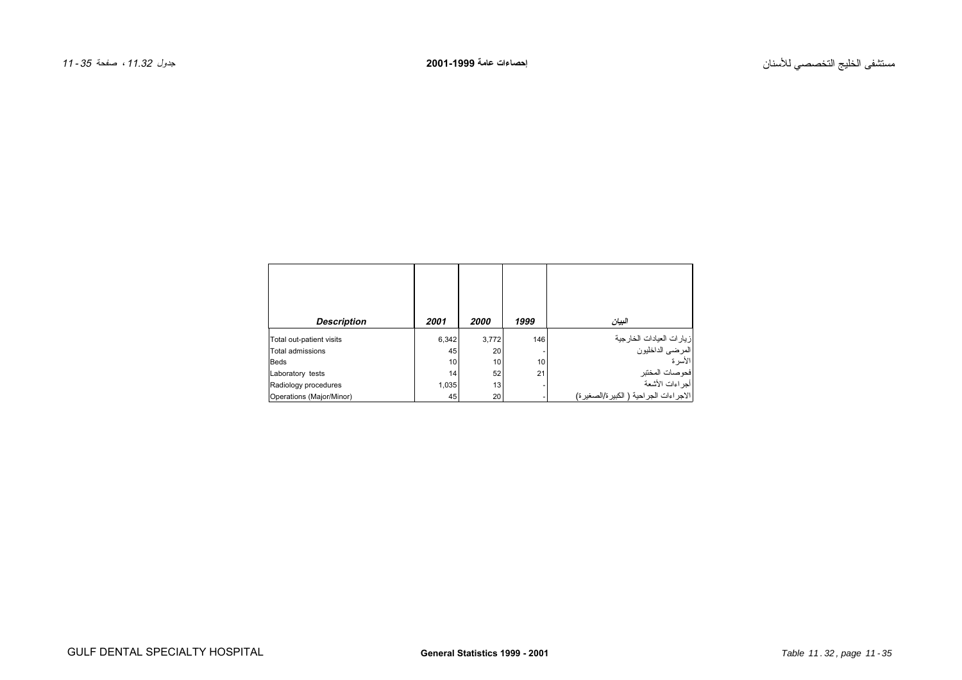<span id="page-1-0"></span>

| <b>Description</b>       | 2001  | 2000  | 1999 | البيان                                    |
|--------------------------|-------|-------|------|-------------------------------------------|
| Total out-patient visits | 6,342 | 3,772 | 146  | زيارات العيادات الخارجية                  |
| <b>Total admissions</b>  | 45    | 20    |      | االمرضى الداخليون                         |
| <b>Beds</b>              | 10    | 10    | 10   | الأسر ة                                   |
| Laboratory tests         | 14    | 52    | 21   | فحوصات المختبر                            |
| Radiology procedures     | 1,035 | 13    |      | أجراءات الأشعة                            |
| Operations (Major/Minor) | 45    | 20    |      | الاجر اءات الجر احية ( الكبير ة/الصغير ة) |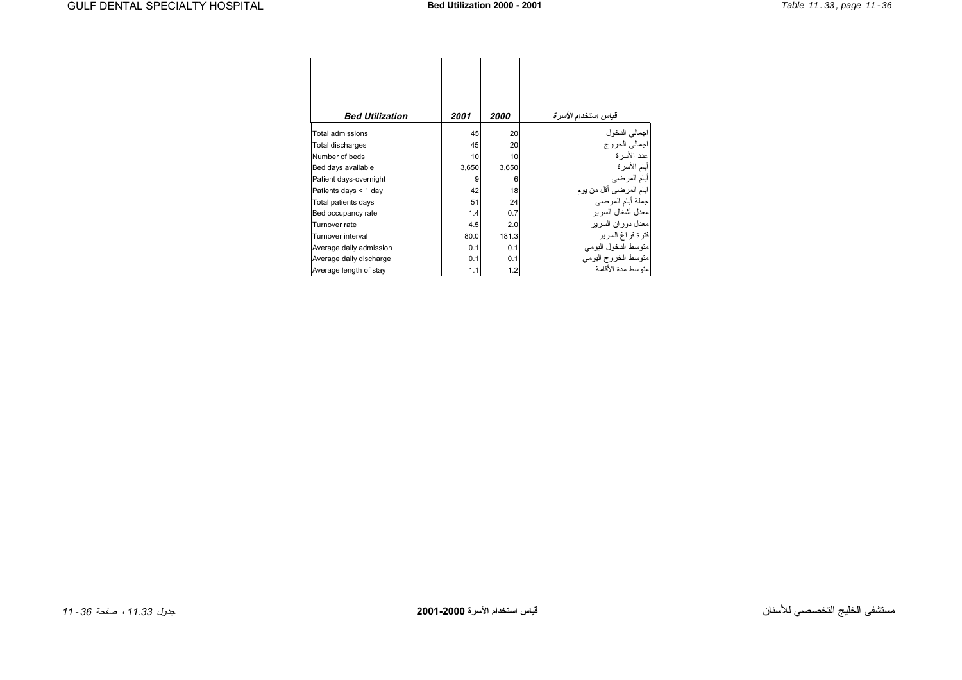<span id="page-2-0"></span>

| <b>Bed Utilization</b>  | 2001  | 2000  | قياس استخدام الأسرة            |
|-------------------------|-------|-------|--------------------------------|
| <b>Total admissions</b> | 45    | 20    |                                |
| <b>Total discharges</b> | 45    | 20    | لجمالي الدخول<br>اجمالي الخروج |
| Number of beds          | 10    | 10    | عدد الأسر ة                    |
| Bed days available      | 3,650 | 3,650 | أيام الأسر ة                   |
| Patient days-overnight  | 9     | 6     | أيام المرضى                    |
| Patients days < 1 day   | 42    | 18    | ايام المرضىي أقل من يوم        |
| Total patients days     | 51    | 24    | جملة أيام المرضي               |
| Bed occupancy rate      | 1.4   | 0.7   | معدل أشغال السر بر             |
| Turnover rate           | 4.5   | 2.0   | معدل دور ان السر بر            |
| Turnover interval       | 80.0  | 181.3 | فترة فراغ السرير               |
| Average daily admission | 0.1   | 0.1   | متوسط الدخول اليومى            |
| Average daily discharge | 0.1   | 0.1   | متوسط الخروج اليومي            |
| Average length of stay  | 1.1   | 1.2   | منوسط مدة الأقامة              |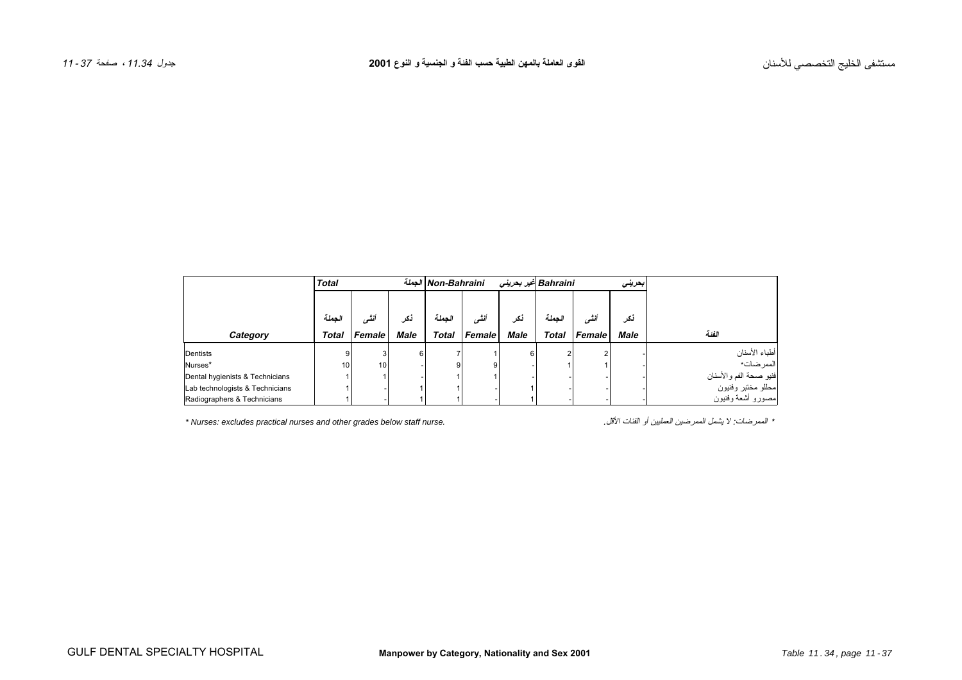<span id="page-3-0"></span>

|                                 | <b>Total</b> |        |             | الجملة Non-Bahraini |        | Bahraini غیر بحرینی |              |        | بمرينى      |                        |
|---------------------------------|--------------|--------|-------------|---------------------|--------|---------------------|--------------|--------|-------------|------------------------|
|                                 |              |        |             |                     |        |                     |              |        |             |                        |
|                                 | الجملة       | أنشى   | نكر         | الحملة              | أنشى   | نكر                 | الحملة       | أنشه   | نكر         |                        |
| Category                        | <b>Total</b> | Female | <b>Male</b> | <b>Total</b>        | Female | <b>Male</b>         | <b>Total</b> | Female | <b>Male</b> | الفنة                  |
| Dentists                        | 9            |        | 6           |                     |        | 6                   |              |        |             | أطباء الأسنان          |
| Nurses*                         | 10           | 10     |             |                     |        |                     |              |        |             | الممر ضات*             |
| Dental hygienists & Technicians |              |        |             |                     |        |                     |              |        |             | فنيو صحة الفم والأسنان |
| Lab technologists & Technicians |              |        |             |                     |        |                     |              |        |             | محللو مختبر وفنيون     |
| Radiographers & Technicians     |              |        |             |                     |        |                     |              |        |             | مصور و أشعة وفنيون     |

*\* Nurses: excludes practical nurses and other grades below staff nurse.* .الأقل الفئات أو العمليين الممرضين يشمل لا :الممرضات\*